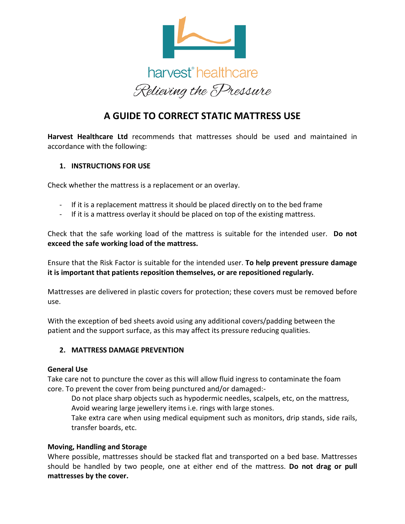

# **A GUIDE TO CORRECT STATIC MATTRESS USE**

**Harvest Healthcare Ltd** recommends that mattresses should be used and maintained in accordance with the following:

## **1. INSTRUCTIONS FOR USE**

Check whether the mattress is a replacement or an overlay.

- If it is a replacement mattress it should be placed directly on to the bed frame
- If it is a mattress overlay it should be placed on top of the existing mattress.

Check that the safe working load of the mattress is suitable for the intended user. **Do not exceed the safe working load of the mattress.**

Ensure that the Risk Factor is suitable for the intended user. **To help prevent pressure damage it is important that patients reposition themselves, or are repositioned regularly.**

Mattresses are delivered in plastic covers for protection; these covers must be removed before use.

With the exception of bed sheets avoid using any additional covers/padding between the patient and the support surface, as this may affect its pressure reducing qualities.

# **2. MATTRESS DAMAGE PREVENTION**

#### **General Use**

Take care not to puncture the cover as this will allow fluid ingress to contaminate the foam core. To prevent the cover from being punctured and/or damaged:-

Do not place sharp objects such as hypodermic needles, scalpels, etc, on the mattress, Avoid wearing large jewellery items i.e. rings with large stones.

Take extra care when using medical equipment such as monitors, drip stands, side rails, transfer boards, etc.

#### **Moving, Handling and Storage**

Where possible, mattresses should be stacked flat and transported on a bed base. Mattresses should be handled by two people, one at either end of the mattress. **Do not drag or pull mattresses by the cover.**